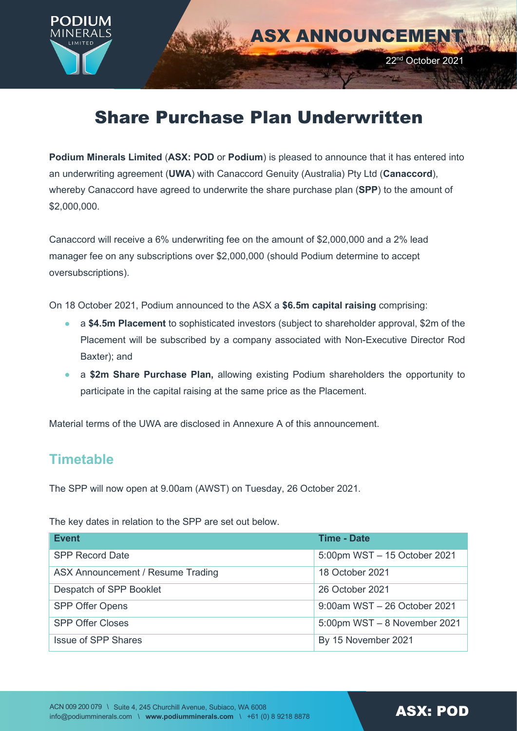

# Share Purchase Plan Underwritten

**Podium Minerals Limited** (**ASX: POD** or **Podium**) is pleased to announce that it has entered into an underwriting agreement (**UWA**) with Canaccord Genuity (Australia) Pty Ltd (**Canaccord**), whereby Canaccord have agreed to underwrite the share purchase plan (**SPP**) to the amount of \$2,000,000.

Canaccord will receive a 6% underwriting fee on the amount of \$2,000,000 and a 2% lead manager fee on any subscriptions over \$2,000,000 (should Podium determine to accept oversubscriptions).

On 18 October 2021, Podium announced to the ASX a **\$6.5m capital raising** comprising:

- a **\$4.5m Placement** to sophisticated investors (subject to shareholder approval, \$2m of the Placement will be subscribed by a company associated with Non-Executive Director Rod Baxter); and
- a **\$2m Share Purchase Plan,** allowing existing Podium shareholders the opportunity to participate in the capital raising at the same price as the Placement.

Material terms of the UWA are disclosed in Annexure A of this announcement.

## **Timetable**

The SPP will now open at 9.00am (AWST) on Tuesday, 26 October 2021.

The key dates in relation to the SPP are set out below.

| <b>Event</b>                      | <b>Time - Date</b>           |
|-----------------------------------|------------------------------|
| <b>SPP Record Date</b>            | 5:00pm WST - 15 October 2021 |
| ASX Announcement / Resume Trading | 18 October 2021              |
| Despatch of SPP Booklet           | 26 October 2021              |
| <b>SPP Offer Opens</b>            | 9:00am WST - 26 October 2021 |
| <b>SPP Offer Closes</b>           | 5:00pm WST - 8 November 2021 |
| <b>Issue of SPP Shares</b>        | By 15 November 2021          |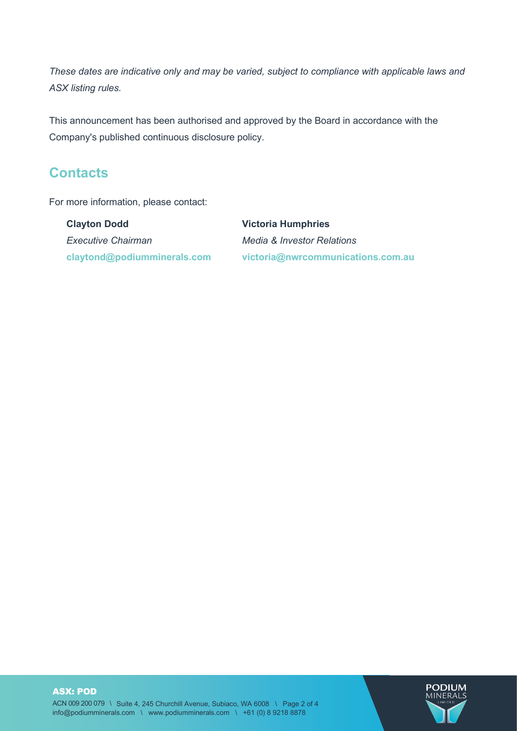*These dates are indicative only and may be varied, subject to compliance with applicable laws and ASX listing rules.*

This announcement has been authorised and approved by the Board in accordance with the Company's published continuous disclosure policy.

### **Contacts**

For more information, please contact:

**Clayton Dodd**  *Executive Chairman* **claytond@podiumminerals.com Victoria Humphries** *Media & Investor Relations* **victoria@nwrcommunications.com.au**

ASX: POD ACN 009 200 079 \ Suite 4, 245 Churchill Avenue, Subiaco, WA 6008 \ Page 2 of 4 info@podiumminerals.com \ www.podiumminerals.com \ +61 (0) 8 9218 8878

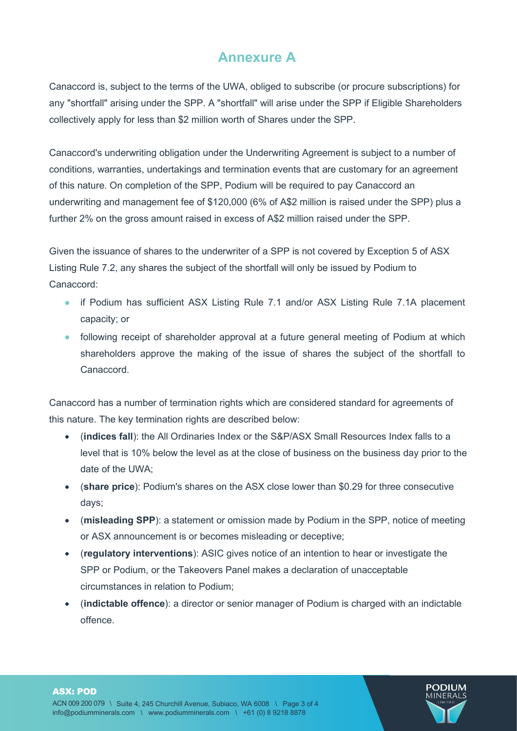## **Annexure A**

Canaccord is, subject to the terms of the UWA, obliged to subscribe (or procure subscriptions) for any "shortfall" arising under the SPP. A "shortfall" will arise under the SPP if Eligible Shareholders collectively apply for less than \$2 million worth of Shares under the SPP.

Canaccord's underwriting obligation under the Underwriting Agreement is subject to a number of conditions, warranties, undertakings and termination events that are customary for an agreement of this nature. On completion of the SPP, Podium will be required to pay Canaccord an underwriting and management fee of \$120,000 (6% of A\$2 million is raised under the SPP) plus a further 2% on the gross amount raised in excess of A\$2 million raised under the SPP.

Given the issuance of shares to the underwriter of a SPP is not covered by Exception 5 of ASX Listing Rule 7.2, any shares the subject of the shortfall will only be issued by Podium to Canaccord:

- if Podium has sufficient ASX Listing Rule 7.1 and/or ASX Listing Rule 7.1A placement capacity; or
- following receipt of shareholder approval at a future general meeting of Podium at which shareholders approve the making of the issue of shares the subject of the shortfall to Canaccord.

Canaccord has a number of termination rights which are considered standard for agreements of this nature. The key termination rights are described below:

- (**indices fall**): the All Ordinaries Index or the S&P/ASX Small Resources Index falls to a level that is 10% below the level as at the close of business on the business day prior to the date of the UWA;
- (**share price**): Podium's shares on the ASX close lower than \$0.29 for three consecutive days;
- (**misleading SPP**): a statement or omission made by Podium in the SPP, notice of meeting or ASX announcement is or becomes misleading or deceptive;
- (**regulatory interventions**): ASIC gives notice of an intention to hear or investigate the SPP or Podium, or the Takeovers Panel makes a declaration of unacceptable circumstances in relation to Podium;
- (**indictable offence**): a director or senior manager of Podium is charged with an indictable offence.



#### ASX: POD